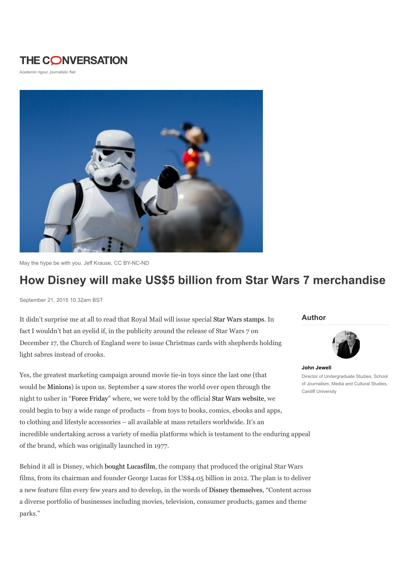## **THE CONVERSATION**

Academic rigour, journalistic flair



May the hype be with you. Jeff Krause, CC BY-NC-ND

# How Disney will make US\$5 billion from Star Wars 7 merchandise

September 21, 2015 10.32am BST

It didn't surprise me at all to read that Royal Mail will issue special Star Wars stamps. In fact I wouldn't bat an eyelid if, in the publicity around the release of Star Wars 7 on December 17, the Church of England were to issue Christmas cards with shepherds holding light sabres instead of crooks.

Yes, the greatest marketing campaign around movie tie-in toys since the last one (that would be Minions) is upon us. September 4 saw stores the world over open through the night to usher in "Force Friday" where, we were told by the official Star Wars website, we could begin to buy a wide range of products – from toys to books, comics, ebooks and apps, to clothing and lifestyle accessories – all available at mass retailers worldwide. It's an incredible undertaking across a variety of media platforms which is testament to the enduring appeal of the brand, which was originally launched in 1977.

Behind it all is Disney, which bought Lucasfilm, the company that produced the original Star Wars films, from its chairman and founder George Lucas for US\$4.05 billion in 2012. The plan is to deliver a new feature film every few years and to develop, in the words of Disney themselves, "Content across a diverse portfolio of businesses including movies, television, consumer products, games and theme parks."

#### Author



John Jewell Director of Undergraduate Studies, School of Journalism, Media and Cultural Studies, Cardiff University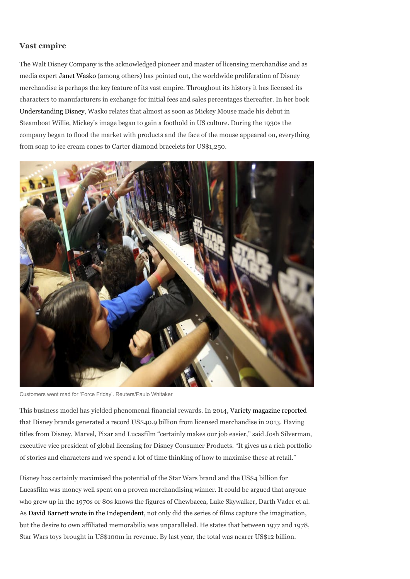### Vast empire

The Walt Disney Company is the acknowledged pioneer and master of licensing merchandise and as media expert Janet Wasko (among others) has pointed out, the worldwide proliferation of Disney merchandise is perhaps the key feature of its vast empire. Throughout its history it has licensed its characters to manufacturers in exchange for initial fees and sales percentages thereafter. In her book Understanding Disney, Wasko relates that almost as soon as Mickey Mouse made his debut in Steamboat Willie, Mickey's image began to gain a foothold in US culture. During the 1930s the company began to flood the market with products and the face of the mouse appeared on, everything from soap to ice cream cones to Carter diamond bracelets for US\$1,250.



Customers went mad for 'Force Friday'. Reuters/Paulo Whitaker

This business model has yielded phenomenal financial rewards. In 2014, Variety magazine reported that Disney brands generated a record US\$40.9 billion from licensed merchandise in 2013. Having titles from Disney, Marvel, Pixar and Lucasfilm "certainly makes our job easier," said Josh Silverman, executive vice president of global licensing for Disney Consumer Products. "It gives us a rich portfolio of stories and characters and we spend a lot of time thinking of how to maximise these at retail."

Disney has certainly maximised the potential of the Star Wars brand and the US\$4 billion for Lucasfilm was money well spent on a proven merchandising winner. It could be argued that anyone who grew up in the 1970s or 80s knows the figures of Chewbacca, Luke Skywalker, Darth Vader et al. As David Barnett wrote in the Independent, not only did the series of films capture the imagination, but the desire to own affiliated memorabilia was unparalleled. He states that between 1977 and 1978, Star Wars toys brought in US\$100m in revenue. By last year, the total was nearer US\$12 billion.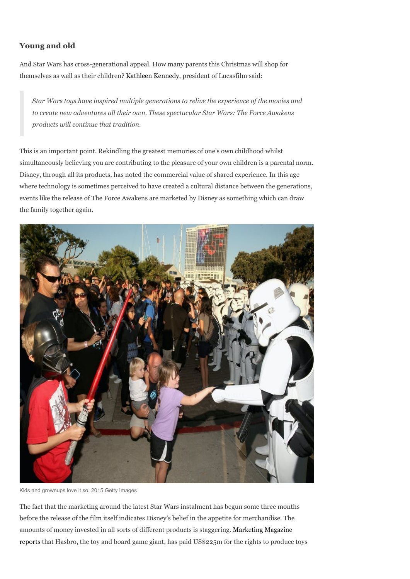### Young and old

And Star Wars has cross-generational appeal. How many parents this Christmas will shop for themselves as well as their children? Kathleen Kennedy, president of Lucasfilm said:

Star Wars toys have inspired multiple generations to relive the experience of the movies and to create new adventures all their own. These spectacular Star Wars: The Force Awakens products will continue that tradition.

This is an important point. Rekindling the greatest memories of one's own childhood whilst simultaneously believing you are contributing to the pleasure of your own children is a parental norm. Disney, through all its products, has noted the commercial value of shared experience. In this age where technology is sometimes perceived to have created a cultural distance between the generations, events like the release of The Force Awakens are marketed by Disney as something which can draw the family together again.



Kids and grownups love it so. 2015 Getty Images

The fact that the marketing around the latest Star Wars instalment has begun some three months before the release of the film itself indicates Disney's belief in the appetite for merchandise. The amounts of money invested in all sorts of different products is staggering. Marketing Magazine reports that Hasbro, the toy and board game giant, has paid US\$225m for the rights to produce toys